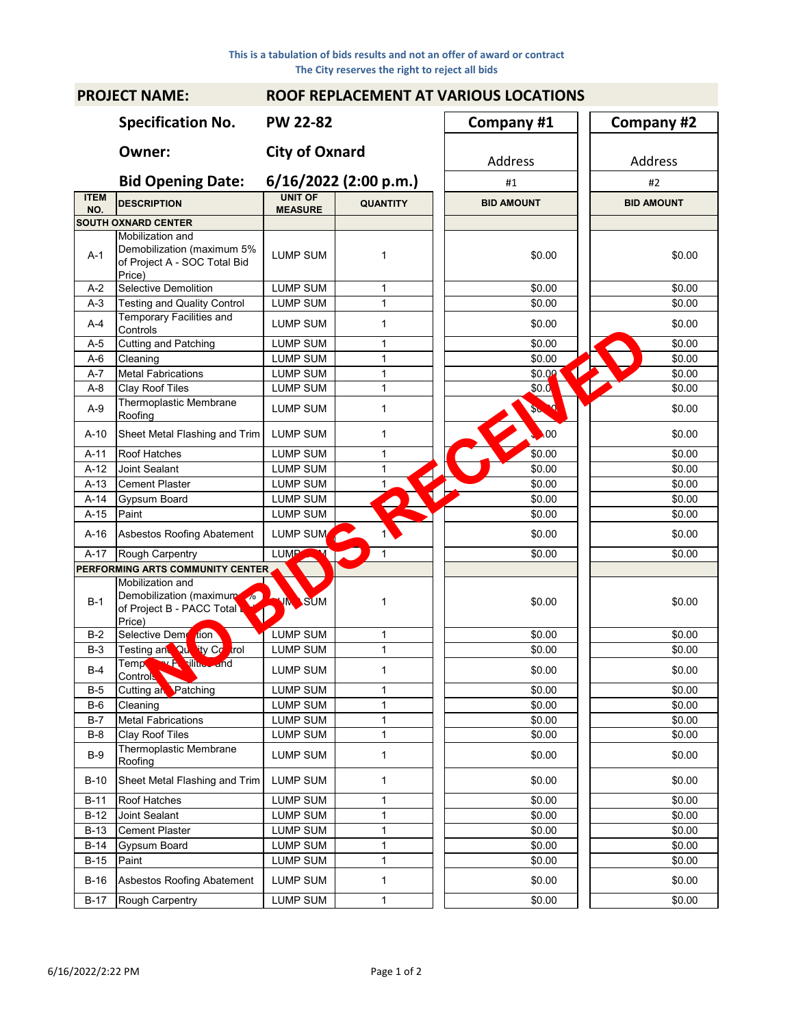| <b>PROJECT NAME:</b> |                                                                                          | <b>ROOF REPLACEMENT AT VARIOUS LOCATIONS</b> |                       |  |                                |  |                   |  |  |
|----------------------|------------------------------------------------------------------------------------------|----------------------------------------------|-----------------------|--|--------------------------------|--|-------------------|--|--|
|                      | <b>Specification No.</b>                                                                 | <b>PW 22-82</b>                              |                       |  | Company #1                     |  | Company #2        |  |  |
|                      | Owner:                                                                                   | <b>City of Oxnard</b>                        |                       |  | Address                        |  | Address           |  |  |
|                      | <b>Bid Opening Date:</b>                                                                 |                                              | 6/16/2022 (2:00 p.m.) |  | #1                             |  | #2                |  |  |
| <b>ITEM</b><br>NO.   | <b>DESCRIPTION</b>                                                                       | <b>UNIT OF</b><br><b>MEASURE</b>             | <b>QUANTITY</b>       |  | <b>BID AMOUNT</b>              |  | <b>BID AMOUNT</b> |  |  |
|                      | <b>SOUTH OXNARD CENTER</b>                                                               |                                              |                       |  |                                |  |                   |  |  |
| $A-1$                | Mobilization and<br>Demobilization (maximum 5%<br>of Project A - SOC Total Bid<br>Price) | <b>LUMP SUM</b>                              | 1                     |  | \$0.00                         |  | \$0.00            |  |  |
| $A-2$                | <b>Selective Demolition</b>                                                              | <b>LUMP SUM</b>                              | 1                     |  | \$0.00                         |  | \$0.00            |  |  |
| $A-3$                | <b>Testing and Quality Control</b>                                                       | <b>LUMP SUM</b>                              | $\mathbf{1}$          |  | \$0.00                         |  | \$0.00            |  |  |
| $A-4$                | <b>Temporary Facilities and</b><br>Controls                                              | LUMP SUM                                     | 1                     |  | \$0.00                         |  | \$0.00            |  |  |
| $A-5$                | <b>Cutting and Patching</b>                                                              | <b>LUMP SUM</b>                              | 1                     |  | \$0.00                         |  | \$0.00            |  |  |
| $A-6$                | Cleaning                                                                                 | <b>LUMP SUM</b>                              | 1                     |  | \$0.00                         |  | \$0.00            |  |  |
| $A - 7$              | <b>Metal Fabrications</b>                                                                | <b>LUMP SUM</b>                              | 1                     |  | $\blacktriangleleft$<br>\$0.00 |  | \$0.00            |  |  |
| $A-8$                | Clay Roof Tiles                                                                          | <b>LUMP SUM</b>                              | $\mathbf{1}$          |  | \$0.0                          |  | \$0.00            |  |  |
| $A-9$                | Thermoplastic Membrane<br>Roofing                                                        | <b>LUMP SUM</b>                              | 1                     |  | р<br><b>Sten</b>               |  | \$0.00            |  |  |
| A-10                 | Sheet Metal Flashing and Trim                                                            | <b>LUMP SUM</b>                              | 1                     |  | $\bullet$ 00                   |  | \$0.00            |  |  |
| $A-11$               | Roof Hatches                                                                             | <b>LUMP SUM</b>                              | $\mathbf{1}$          |  | \$0.00                         |  | \$0.00            |  |  |
| A-12                 | Joint Sealant                                                                            | <b>LUMP SUM</b>                              | 1                     |  | \$0.00                         |  | \$0.00            |  |  |
| $A-13$               | Cement Plaster                                                                           | <b>LUMP SUM</b>                              | 1                     |  | \$0.00                         |  | \$0.00            |  |  |
| A-14                 | Gypsum Board                                                                             | LUMP SUM                                     |                       |  | \$0.00                         |  | \$0.00            |  |  |
| $A-15$               | Paint                                                                                    | LUMP SUM                                     |                       |  | \$0.00                         |  | \$0.00            |  |  |
| A-16                 | Asbestos Roofing Abatement                                                               | LUMP SUM                                     |                       |  | \$0.00                         |  | \$0.00            |  |  |
| $A-17$               | Rough Carpentry                                                                          | <b>LUMP</b>                                  | 1                     |  | \$0.00                         |  | \$0.00            |  |  |
|                      | PERFORMING ARTS COMMUNITY CENTER                                                         |                                              |                       |  |                                |  |                   |  |  |
| $B-1$                | Mobilization and<br>Demobilization (maximum<br>of Project B - PACC Total<br>Price)       | <b>VM</b> SUM<br>$\triangle$                 | 1                     |  | \$0.00                         |  | \$0.00            |  |  |
| $B-2$                | Selective Dem<br><b>don</b>                                                              | LUMP SUM                                     | 1                     |  | \$0.00                         |  | \$0.00            |  |  |
| $B-3$                | Testing and Questy Co<br>trol                                                            | <b>LUMP SUM</b>                              | $\mathbf{1}$          |  | \$0.00                         |  | \$0.00            |  |  |
| $B-4$                | Temp <sup>ow</sup> This and<br><b>Control</b>                                            | LUMP SUM                                     | 1                     |  | \$0.00                         |  | \$0.00            |  |  |
| $B-5$                | Cutting an Patching                                                                      | LUMP SUM                                     | 1                     |  | \$0.00                         |  | \$0.00            |  |  |
| $B-6$                | Cleaning                                                                                 | LUMP SUM                                     | 1                     |  | \$0.00                         |  | \$0.00            |  |  |
| $B-7$                | <b>Metal Fabrications</b>                                                                | LUMP SUM                                     | $\mathbf 1$           |  | \$0.00                         |  | \$0.00            |  |  |
| $B-8$                | Clay Roof Tiles                                                                          | <b>LUMP SUM</b>                              | $\mathbf{1}$          |  | \$0.00                         |  | \$0.00            |  |  |
| $B-9$                | Thermoplastic Membrane<br>Roofing                                                        | <b>LUMP SUM</b>                              | 1                     |  | \$0.00                         |  | \$0.00            |  |  |
| $B-10$               | Sheet Metal Flashing and Trim                                                            | <b>LUMP SUM</b>                              | 1                     |  | \$0.00                         |  | \$0.00            |  |  |
| $B-11$               | Roof Hatches                                                                             | <b>LUMP SUM</b>                              | 1                     |  | \$0.00                         |  | \$0.00            |  |  |
| $B-12$               | Joint Sealant                                                                            | LUMP SUM                                     | 1                     |  | \$0.00                         |  | \$0.00            |  |  |
| B-13                 | <b>Cement Plaster</b>                                                                    | LUMP SUM                                     | $\mathbf 1$           |  | \$0.00                         |  | \$0.00            |  |  |
| $B-14$               | Gypsum Board                                                                             | LUMP SUM                                     | 1                     |  | \$0.00                         |  | \$0.00            |  |  |
| $B-15$               | Paint                                                                                    | LUMP SUM                                     | $\mathbf 1$           |  | \$0.00                         |  | \$0.00            |  |  |
| B-16                 | Asbestos Roofing Abatement                                                               | LUMP SUM                                     | 1                     |  | \$0.00                         |  | \$0.00            |  |  |
| B-17                 | Rough Carpentry                                                                          | <b>LUMP SUM</b>                              | $\mathbf{1}$          |  | \$0.00                         |  | \$0.00            |  |  |